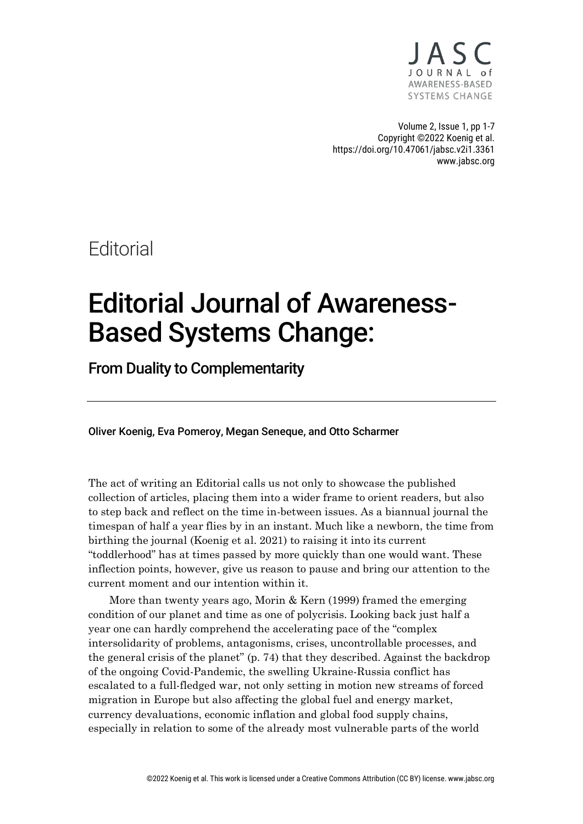

Volume 2, Issue 1, pp 1-7 Copyright ©2022 Koenig et al. https://doi.org/10.47061/jabsc.v2i1.3361 www.jabsc.org

**Editorial** 

## Editorial Journal of Awareness-Based Systems Change:

From Duality to Complementarity

Oliver Koenig, Eva Pomeroy, Megan Seneque, and Otto Scharmer

The act of writing an Editorial calls us not only to showcase the published collection of articles, placing them into a wider frame to orient readers, but also to step back and reflect on the time in-between issues. As a biannual journal the timespan of half a year flies by in an instant. Much like a newborn, the time from birthing the journal (Koenig et al. 2021) to raising it into its current "toddlerhood" has at times passed by more quickly than one would want. These inflection points, however, give us reason to pause and bring our attention to the current moment and our intention within it.

More than twenty years ago, Morin & Kern (1999) framed the emerging condition of our planet and time as one of polycrisis. Looking back just half a year one can hardly comprehend the accelerating pace of the "complex intersolidarity of problems, antagonisms, crises, uncontrollable processes, and the general crisis of the planet" (p. 74) that they described. Against the backdrop of the ongoing Covid-Pandemic, the swelling Ukraine-Russia conflict has escalated to a full-fledged war, not only setting in motion new streams of forced migration in Europe but also affecting the global fuel and energy market, currency devaluations, economic inflation and global food supply chains, especially in relation to some of the already most vulnerable parts of the world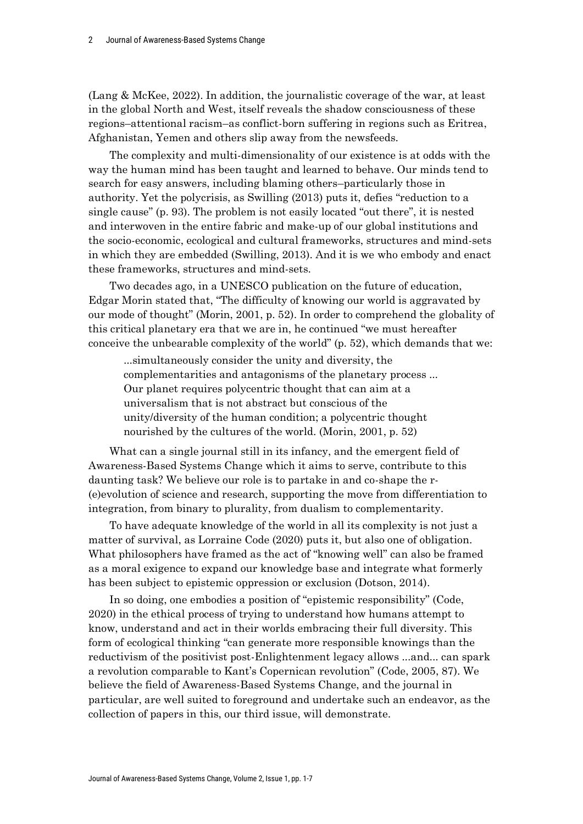(Lang & McKee, 2022). In addition, the journalistic coverage of the war, at least in the global North and West, itself reveals the shadow consciousness of these regions–attentional racism–as conflict-born suffering in regions such as Eritrea, Afghanistan, Yemen and others slip away from the newsfeeds.

The complexity and multi-dimensionality of our existence is at odds with the way the human mind has been taught and learned to behave. Our minds tend to search for easy answers, including blaming others–particularly those in authority. Yet the polycrisis, as Swilling (2013) puts it, defies "reduction to a single cause" (p. 93). The problem is not easily located "out there", it is nested and interwoven in the entire fabric and make-up of our global institutions and the socio-economic, ecological and cultural frameworks, structures and mind-sets in which they are embedded (Swilling, 2013). And it is we who embody and enact these frameworks, structures and mind-sets.

Two decades ago, in a UNESCO publication on the future of education, Edgar Morin stated that, "The difficulty of knowing our world is aggravated by our mode of thought" (Morin, 2001, p. 52). In order to comprehend the globality of this critical planetary era that we are in, he continued "we must hereafter conceive the unbearable complexity of the world" (p. 52), which demands that we:

...simultaneously consider the unity and diversity, the complementarities and antagonisms of the planetary process ... Our planet requires polycentric thought that can aim at a universalism that is not abstract but conscious of the unity/diversity of the human condition; a polycentric thought nourished by the cultures of the world. (Morin, 2001, p. 52)

What can a single journal still in its infancy, and the emergent field of Awareness-Based Systems Change which it aims to serve, contribute to this daunting task? We believe our role is to partake in and co-shape the r- (e)evolution of science and research, supporting the move from differentiation to integration, from binary to plurality, from dualism to complementarity.

To have adequate knowledge of the world in all its complexity is not just a matter of survival, as Lorraine Code (2020) puts it, but also one of obligation. What philosophers have framed as the act of "knowing well" can also be framed as a moral exigence to expand our knowledge base and integrate what formerly has been subject to epistemic oppression or exclusion (Dotson, 2014).

In so doing, one embodies a position of "epistemic responsibility" (Code, 2020) in the ethical process of trying to understand how humans attempt to know, understand and act in their worlds embracing their full diversity. This form of ecological thinking "can generate more responsible knowings than the reductivism of the positivist post-Enlightenment legacy allows ...and... can spark a revolution comparable to Kant's Copernican revolution" (Code, 2005, 87). We believe the field of Awareness-Based Systems Change, and the journal in particular, are well suited to foreground and undertake such an endeavor, as the collection of papers in this, our third issue, will demonstrate.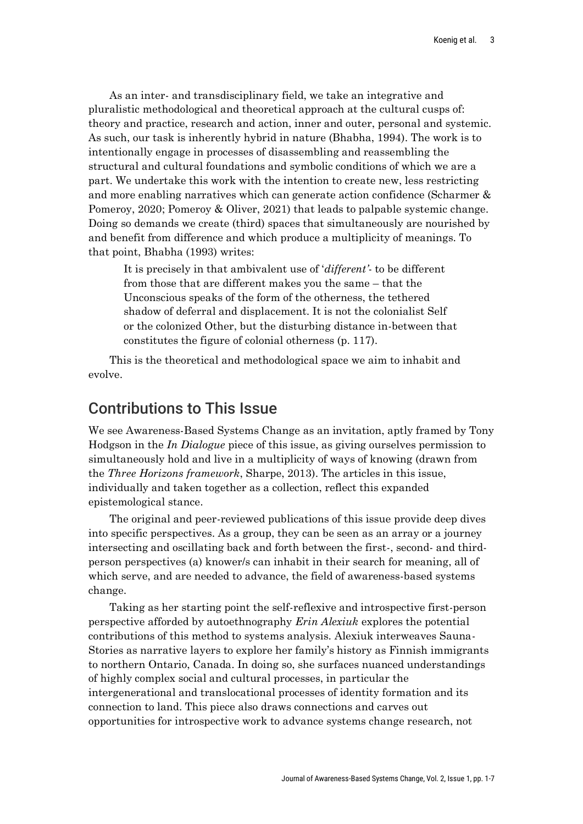As an inter- and transdisciplinary field, we take an integrative and pluralistic methodological and theoretical approach at the cultural cusps of: theory and practice, research and action, inner and outer, personal and systemic. As such, our task is inherently hybrid in nature (Bhabha, 1994). The work is to intentionally engage in processes of disassembling and reassembling the structural and cultural foundations and symbolic conditions of which we are a part. We undertake this work with the intention to create new, less restricting and more enabling narratives which can generate action confidence (Scharmer & Pomeroy, 2020; Pomeroy & Oliver, 2021) that leads to palpable systemic change. Doing so demands we create (third) spaces that simultaneously are nourished by and benefit from difference and which produce a multiplicity of meanings. To that point, Bhabha (1993) writes:

It is precisely in that ambivalent use of '*different'*- to be different from those that are different makes you the same – that the Unconscious speaks of the form of the otherness, the tethered shadow of deferral and displacement. It is not the colonialist Self or the colonized Other, but the disturbing distance in-between that constitutes the figure of colonial otherness (p. 117).

This is the theoretical and methodological space we aim to inhabit and evolve.

## Contributions to This Issue

We see Awareness-Based Systems Change as an invitation, aptly framed by Tony Hodgson in the *In Dialogue* piece of this issue, as giving ourselves permission to simultaneously hold and live in a multiplicity of ways of knowing (drawn from the *Three Horizons framework*, Sharpe, 2013). The articles in this issue, individually and taken together as a collection, reflect this expanded epistemological stance.

The original and peer-reviewed publications of this issue provide deep dives into specific perspectives. As a group, they can be seen as an array or a journey intersecting and oscillating back and forth between the first-, second- and thirdperson perspectives (a) knower/s can inhabit in their search for meaning, all of which serve, and are needed to advance, the field of awareness-based systems change.

Taking as her starting point the self-reflexive and introspective first-person perspective afforded by autoethnography *Erin Alexiuk* explores the potential contributions of this method to systems analysis. Alexiuk interweaves Sauna-Stories as narrative layers to explore her family's history as Finnish immigrants to northern Ontario, Canada. In doing so, she surfaces nuanced understandings of highly complex social and cultural processes, in particular the intergenerational and translocational processes of identity formation and its connection to land. This piece also draws connections and carves out opportunities for introspective work to advance systems change research, not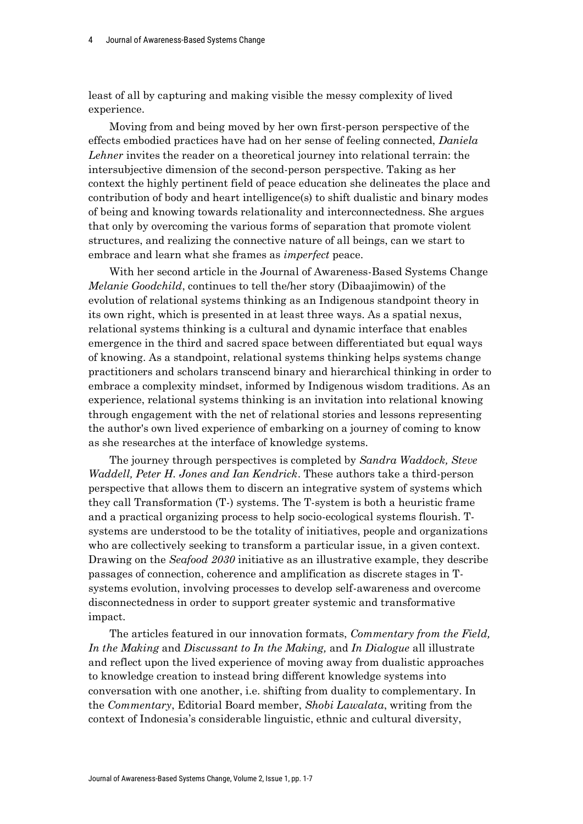least of all by capturing and making visible the messy complexity of lived experience.

Moving from and being moved by her own first-person perspective of the effects embodied practices have had on her sense of feeling connected, *Daniela Lehner* invites the reader on a theoretical journey into relational terrain: the intersubjective dimension of the second-person perspective. Taking as her context the highly pertinent field of peace education she delineates the place and contribution of body and heart intelligence(s) to shift dualistic and binary modes of being and knowing towards relationality and interconnectedness. She argues that only by overcoming the various forms of separation that promote violent structures, and realizing the connective nature of all beings, can we start to embrace and learn what she frames as *imperfect* peace.

With her second article in the Journal of Awareness-Based Systems Change *Melanie Goodchild*, continues to tell the/her story (Dibaajimowin) of the evolution of relational systems thinking as an Indigenous standpoint theory in its own right, which is presented in at least three ways. As a spatial nexus, relational systems thinking is a cultural and dynamic interface that enables emergence in the third and sacred space between differentiated but equal ways of knowing. As a standpoint, relational systems thinking helps systems change practitioners and scholars transcend binary and hierarchical thinking in order to embrace a complexity mindset, informed by Indigenous wisdom traditions. As an experience, relational systems thinking is an invitation into relational knowing through engagement with the net of relational stories and lessons representing the author's own lived experience of embarking on a journey of coming to know as she researches at the interface of knowledge systems.

The journey through perspectives is completed by *Sandra Waddock, Steve Waddell, Peter H. Jones and Ian Kendrick*. These authors take a third-person perspective that allows them to discern an integrative system of systems which they call Transformation (T-) systems. The T-system is both a heuristic frame and a practical organizing process to help socio-ecological systems flourish. Tsystems are understood to be the totality of initiatives, people and organizations who are collectively seeking to transform a particular issue, in a given context. Drawing on the *Seafood 2030* initiative as an illustrative example, they describe passages of connection, coherence and amplification as discrete stages in Tsystems evolution, involving processes to develop self-awareness and overcome disconnectedness in order to support greater systemic and transformative impact.

The articles featured in our innovation formats, *Commentary from the Field, In the Making* and *Discussant to In the Making,* and *In Dialogue* all illustrate and reflect upon the lived experience of moving away from dualistic approaches to knowledge creation to instead bring different knowledge systems into conversation with one another, i.e. shifting from duality to complementary. In the *Commentary*, Editorial Board member, *Shobi Lawalata*, writing from the context of Indonesia's considerable linguistic, ethnic and cultural diversity,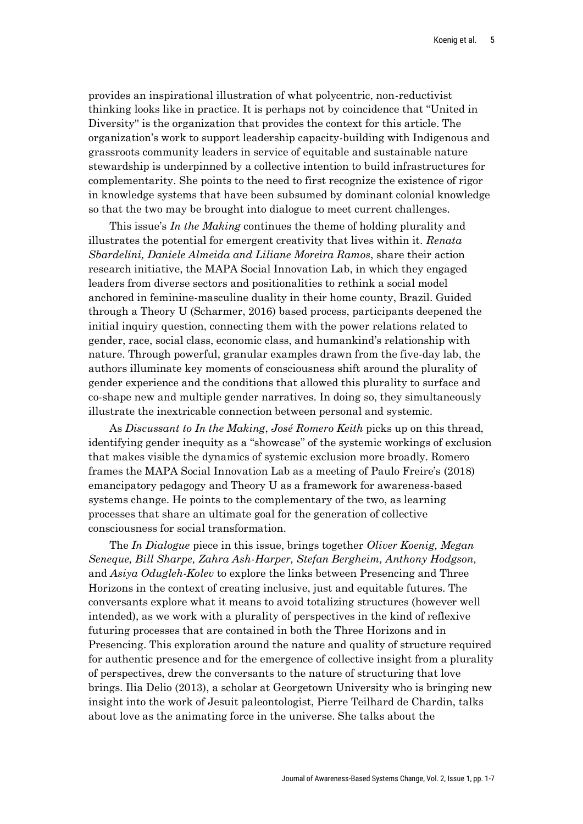provides an inspirational illustration of what polycentric, non-reductivist thinking looks like in practice. It is perhaps not by coincidence that "United in Diversity'' is the organization that provides the context for this article. The organization's work to support leadership capacity-building with Indigenous and grassroots community leaders in service of equitable and sustainable nature stewardship is underpinned by a collective intention to build infrastructures for complementarity. She points to the need to first recognize the existence of rigor in knowledge systems that have been subsumed by dominant colonial knowledge so that the two may be brought into dialogue to meet current challenges.

This issue's *In the Making* continues the theme of holding plurality and illustrates the potential for emergent creativity that lives within it. *Renata Sbardelini, Daniele Almeida and Liliane Moreira Ramos*, share their action research initiative, the MAPA Social Innovation Lab, in which they engaged leaders from diverse sectors and positionalities to rethink a social model anchored in feminine-masculine duality in their home county, Brazil. Guided through a Theory U (Scharmer, 2016) based process, participants deepened the initial inquiry question, connecting them with the power relations related to gender, race, social class, economic class, and humankind's relationship with nature. Through powerful, granular examples drawn from the five-day lab, the authors illuminate key moments of consciousness shift around the plurality of gender experience and the conditions that allowed this plurality to surface and co-shape new and multiple gender narratives. In doing so, they simultaneously illustrate the inextricable connection between personal and systemic.

As *Discussant to In the Making*, *José Romero Keith* picks up on this thread, identifying gender inequity as a "showcase" of the systemic workings of exclusion that makes visible the dynamics of systemic exclusion more broadly. Romero frames the MAPA Social Innovation Lab as a meeting of Paulo Freire's (2018) emancipatory pedagogy and Theory U as a framework for awareness-based systems change. He points to the complementary of the two, as learning processes that share an ultimate goal for the generation of collective consciousness for social transformation.

The *In Dialogue* piece in this issue, brings together *Oliver Koenig, Megan Seneque, Bill Sharpe, Zahra Ash-Harper, Stefan Bergheim, Anthony Hodgson,*  and *Asiya Odugleh-Kolev* to explore the links between Presencing and Three Horizons in the context of creating inclusive, just and equitable futures. The conversants explore what it means to avoid totalizing structures (however well intended), as we work with a plurality of perspectives in the kind of reflexive futuring processes that are contained in both the Three Horizons and in Presencing. This exploration around the nature and quality of structure required for authentic presence and for the emergence of collective insight from a plurality of perspectives, drew the conversants to the nature of structuring that love brings. Ilia Delio (2013), a scholar at Georgetown University who is bringing new insight into the work of Jesuit paleontologist, Pierre Teilhard de Chardin, talks about love as the animating force in the universe. She talks about the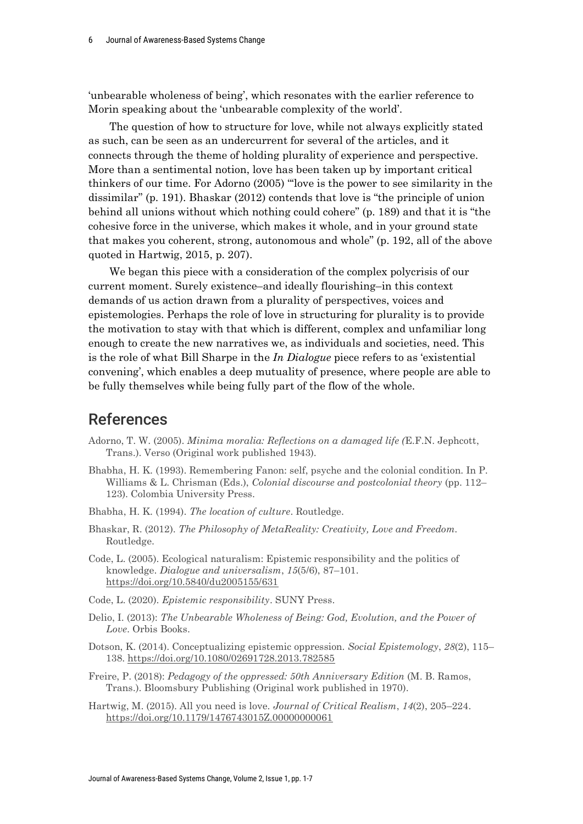'unbearable wholeness of being', which resonates with the earlier reference to Morin speaking about the 'unbearable complexity of the world'.

The question of how to structure for love, while not always explicitly stated as such, can be seen as an undercurrent for several of the articles, and it connects through the theme of holding plurality of experience and perspective. More than a sentimental notion, love has been taken up by important critical thinkers of our time. For Adorno (2005) "'love is the power to see similarity in the dissimilar" (p. 191). Bhaskar (2012) contends that love is "the principle of union behind all unions without which nothing could cohere" (p. 189) and that it is "the cohesive force in the universe, which makes it whole, and in your ground state that makes you coherent, strong, autonomous and whole" (p. 192, all of the above quoted in Hartwig, 2015, p. 207).

We began this piece with a consideration of the complex polycrisis of our current moment. Surely existence–and ideally flourishing–in this context demands of us action drawn from a plurality of perspectives, voices and epistemologies. Perhaps the role of love in structuring for plurality is to provide the motivation to stay with that which is different, complex and unfamiliar long enough to create the new narratives we, as individuals and societies, need. This is the role of what Bill Sharpe in the *In Dialogue* piece refers to as 'existential convening', which enables a deep mutuality of presence, where people are able to be fully themselves while being fully part of the flow of the whole.

## References

- Adorno, T. W. (2005). *Minima moralia: Reflections on a damaged life (*E.F.N. Jephcott, Trans.). Verso (Original work published 1943).
- Bhabha, H. K. (1993). Remembering Fanon: self, psyche and the colonial condition. In P. Williams & L. Chrisman (Eds.), *Colonial discourse and postcolonial theory* (pp. 112– 123). Colombia University Press.
- Bhabha, H. K. (1994). *The location of culture*. Routledge.
- Bhaskar, R. (2012). *The Philosophy of MetaReality: Creativity, Love and Freedom.*  Routledge.
- Code, L. (2005). Ecological naturalism: Epistemic responsibility and the politics of knowledge. *Dialogue and universalism*, *15*(5/6), 87–101. https://doi.org/10.5840/du2005155/631
- Code, L. (2020). *Epistemic responsibility*. SUNY Press.
- Delio, I. (2013): *The Unbearable Wholeness of Being: God, Evolution, and the Power of Love*. Orbis Books.
- Dotson, K. (2014). Conceptualizing epistemic oppression. *Social Epistemology*, *28*(2), 115– 138. https://doi.org/10.1080/02691728.2013.782585
- Freire, P. (2018): *Pedagogy of the oppressed: 50th Anniversary Edition* (M. B. Ramos, Trans.). Bloomsbury Publishing (Original work published in 1970).
- Hartwig, M. (2015). All you need is love. *Journal of Critical Realism*, *14*(2), 205–224. https://doi.org/10.1179/1476743015Z.00000000061